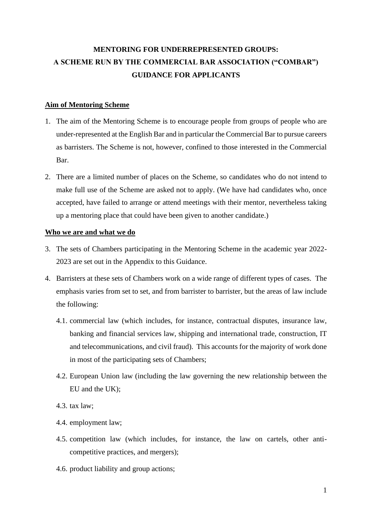# **MENTORING FOR UNDERREPRESENTED GROUPS: A SCHEME RUN BY THE COMMERCIAL BAR ASSOCIATION ("COMBAR") GUIDANCE FOR APPLICANTS**

## **Aim of Mentoring Scheme**

- 1. The aim of the Mentoring Scheme is to encourage people from groups of people who are under-represented at the English Bar and in particular the Commercial Bar to pursue careers as barristers. The Scheme is not, however, confined to those interested in the Commercial Bar.
- 2. There are a limited number of places on the Scheme, so candidates who do not intend to make full use of the Scheme are asked not to apply. (We have had candidates who, once accepted, have failed to arrange or attend meetings with their mentor, nevertheless taking up a mentoring place that could have been given to another candidate.)

## **Who we are and what we do**

- 3. The sets of Chambers participating in the Mentoring Scheme in the academic year 2022- 2023 are set out in the Appendix to this Guidance.
- 4. Barristers at these sets of Chambers work on a wide range of different types of cases. The emphasis varies from set to set, and from barrister to barrister, but the areas of law include the following:
	- 4.1. commercial law (which includes, for instance, contractual disputes, insurance law, banking and financial services law, shipping and international trade, construction, IT and telecommunications, and civil fraud). This accounts for the majority of work done in most of the participating sets of Chambers;
	- 4.2. European Union law (including the law governing the new relationship between the EU and the UK);
	- 4.3. tax law;
	- 4.4. employment law;
	- 4.5. competition law (which includes, for instance, the law on cartels, other anticompetitive practices, and mergers);
	- 4.6. product liability and group actions;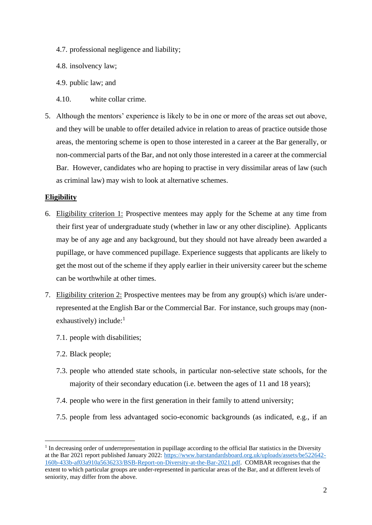- 4.7. professional negligence and liability;
- 4.8. insolvency law;
- 4.9. public law; and
- 4.10. white collar crime.
- 5. Although the mentors' experience is likely to be in one or more of the areas set out above, and they will be unable to offer detailed advice in relation to areas of practice outside those areas, the mentoring scheme is open to those interested in a career at the Bar generally, or non-commercial parts of the Bar, and not only those interested in a career at the commercial Bar. However, candidates who are hoping to practise in very dissimilar areas of law (such as criminal law) may wish to look at alternative schemes.

## **Eligibility**

- 6. Eligibility criterion 1: Prospective mentees may apply for the Scheme at any time from their first year of undergraduate study (whether in law or any other discipline). Applicants may be of any age and any background, but they should not have already been awarded a pupillage, or have commenced pupillage. Experience suggests that applicants are likely to get the most out of the scheme if they apply earlier in their university career but the scheme can be worthwhile at other times.
- <span id="page-1-0"></span>7. Eligibility criterion 2: Prospective mentees may be from any group(s) which is/are underrepresented at the English Bar or the Commercial Bar. For instance, such groups may (nonexhaustively) include: $<sup>1</sup>$ </sup>
	- 7.1. people with disabilities;
	- 7.2. Black people;
	- 7.3. people who attended state schools, in particular non-selective state schools, for the majority of their secondary education (i.e. between the ages of 11 and 18 years);
	- 7.4. people who were in the first generation in their family to attend university;
	- 7.5. people from less advantaged socio-economic backgrounds (as indicated, e.g., if an

<sup>&</sup>lt;sup>1</sup> In decreasing order of underrepresentation in pupillage according to the official Bar statistics in the Diversity at the Bar 2021 report published January 2022: [https://www.barstandardsboard.org.uk/uploads/assets/be522642-](https://www.barstandardsboard.org.uk/uploads/assets/be522642-160b-433b-af03a910a5636233/BSB-Report-on-Diversity-at-the-Bar-2021.pdf) [160b-433b-af03a910a5636233/BSB-Report-on-Diversity-at-the-Bar-2021.pdf.](https://www.barstandardsboard.org.uk/uploads/assets/be522642-160b-433b-af03a910a5636233/BSB-Report-on-Diversity-at-the-Bar-2021.pdf) COMBAR recognises that the extent to which particular groups are under-represented in particular areas of the Bar, and at different levels of seniority, may differ from the above.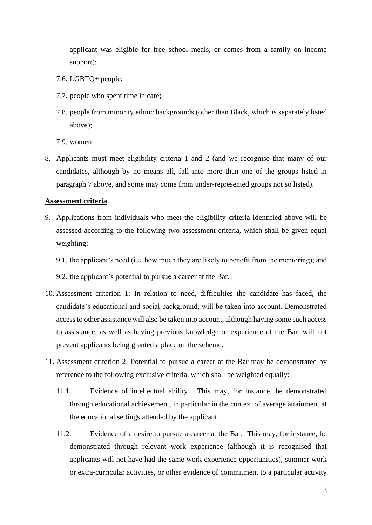applicant was eligible for free school meals, or comes from a family on income support);

- 7.6. LGBTQ+ people;
- 7.7. people who spent time in care;
- 7.8. people from minority ethnic backgrounds (other than Black, which is separately listed above);

7.9. women.

8. Applicants must meet eligibility criteria 1 and 2 (and we recognise that many of our candidates, although by no means all, fall into more than one of the groups listed in paragraph [7](#page-1-0) above, and some may come from under-represented groups not so listed).

#### **Assessment criteria**

- 9. Applications from individuals who meet the eligibility criteria identified above will be assessed according to the following two assessment criteria, which shall be given equal weighting:
	- 9.1. the applicant's need (i.e. how much they are likely to benefit from the mentoring); and
	- 9.2. the applicant's potential to pursue a career at the Bar.
- 10. Assessment criterion 1: In relation to need, difficulties the candidate has faced, the candidate's educational and social background, will be taken into account. Demonstrated access to other assistance will also be taken into account, although having some such access to assistance, as well as having previous knowledge or experience of the Bar, will not prevent applicants being granted a place on the scheme.
- 11. Assessment criterion 2: Potential to pursue a career at the Bar may be demonstrated by reference to the following exclusive criteria, which shall be weighted equally:
	- 11.1. Evidence of intellectual ability. This may, for instance, be demonstrated through educational achievement, in particular in the context of average attainment at the educational settings attended by the applicant.
	- 11.2. Evidence of a desire to pursue a career at the Bar. This may, for instance, be demonstrated through relevant work experience (although it is recognised that applicants will not have had the same work experience opportunities), summer work or extra-curricular activities, or other evidence of commitment to a particular activity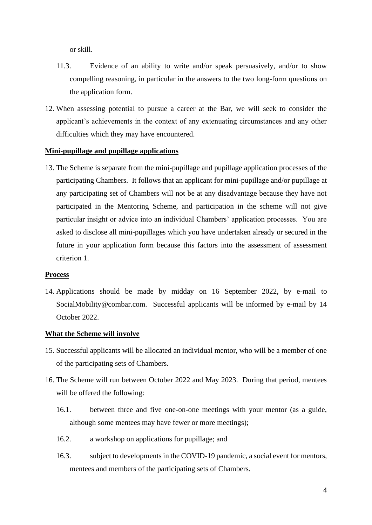or skill.

- 11.3. Evidence of an ability to write and/or speak persuasively, and/or to show compelling reasoning, in particular in the answers to the two long-form questions on the application form.
- 12. When assessing potential to pursue a career at the Bar, we will seek to consider the applicant's achievements in the context of any extenuating circumstances and any other difficulties which they may have encountered.

## **Mini-pupillage and pupillage applications**

13. The Scheme is separate from the mini-pupillage and pupillage application processes of the participating Chambers. It follows that an applicant for mini-pupillage and/or pupillage at any participating set of Chambers will not be at any disadvantage because they have not participated in the Mentoring Scheme, and participation in the scheme will not give particular insight or advice into an individual Chambers' application processes. You are asked to disclose all mini-pupillages which you have undertaken already or secured in the future in your application form because this factors into the assessment of assessment criterion 1.

#### **Process**

14. Applications should be made by midday on 16 September 2022, by e-mail to SocialMobility@combar.com. Successful applicants will be informed by e-mail by 14 October 2022.

## **What the Scheme will involve**

- 15. Successful applicants will be allocated an individual mentor, who will be a member of one of the participating sets of Chambers.
- 16. The Scheme will run between October 2022 and May 2023. During that period, mentees will be offered the following:
	- 16.1. between three and five one-on-one meetings with your mentor (as a guide, although some mentees may have fewer or more meetings);
	- 16.2. a workshop on applications for pupillage; and
	- 16.3. subject to developments in the COVID-19 pandemic, a social event for mentors, mentees and members of the participating sets of Chambers.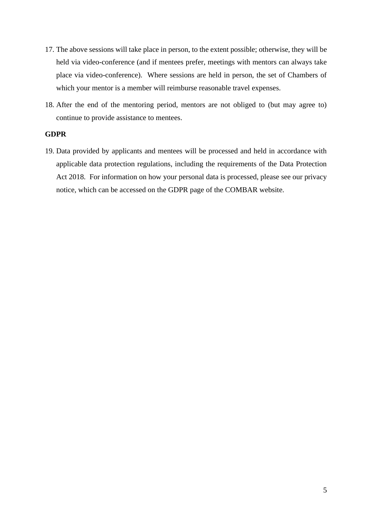- 17. The above sessions will take place in person, to the extent possible; otherwise, they will be held via video-conference (and if mentees prefer, meetings with mentors can always take place via video-conference). Where sessions are held in person, the set of Chambers of which your mentor is a member will reimburse reasonable travel expenses.
- 18. After the end of the mentoring period, mentors are not obliged to (but may agree to) continue to provide assistance to mentees.

## **GDPR**

19. Data provided by applicants and mentees will be processed and held in accordance with applicable data protection regulations, including the requirements of the Data Protection Act 2018. For information on how your personal data is processed, please see our privacy notice, which can be accessed on the GDPR page of the COMBAR website.